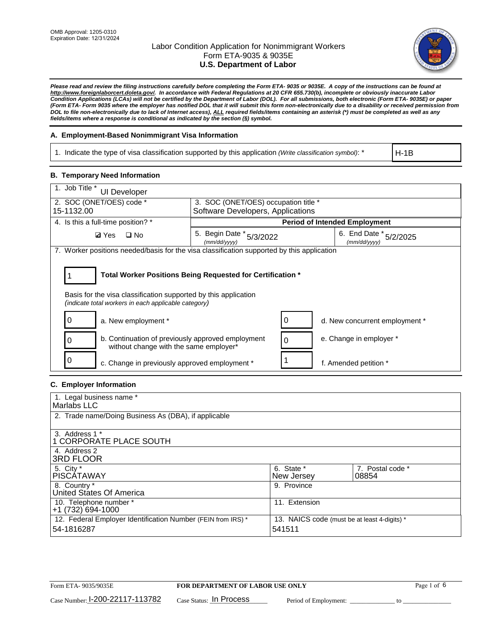

*Please read and review the filing instructions carefully before completing the Form ETA- 9035 or 9035E. A copy of the instructions can be found at http://www.foreignlaborcert.doleta.gov/. In accordance with Federal Regulations at 20 CFR 655.730(b), incomplete or obviously inaccurate Labor Condition Applications (LCAs) will not be certified by the Department of Labor (DOL). For all submissions, both electronic (Form ETA- 9035E) or paper (Form ETA- Form 9035 where the employer has notified DOL that it will submit this form non-electronically due to a disability or received permission from DOL to file non-electronically due to lack of Internet access), ALL required fields/items containing an asterisk (\*) must be completed as well as any fields/items where a response is conditional as indicated by the section (§) symbol.* 

### **A. Employment-Based Nonimmigrant Visa Information**

1. Indicate the type of visa classification supported by this application *(Write classification symbol)*: \*

H-1B

### **B. Temporary Need Information**

| 1. Job Title *<br>UI Developer                                                                                                                                                        |                                          |                                           |  |  |  |
|---------------------------------------------------------------------------------------------------------------------------------------------------------------------------------------|------------------------------------------|-------------------------------------------|--|--|--|
| 2. SOC (ONET/OES) code *<br>3. SOC (ONET/OES) occupation title *<br>15-1132.00                                                                                                        |                                          |                                           |  |  |  |
|                                                                                                                                                                                       | Software Developers, Applications        |                                           |  |  |  |
| 4. Is this a full-time position? *                                                                                                                                                    | <b>Period of Intended Employment</b>     |                                           |  |  |  |
| $\square$ No<br><b>Ø</b> Yes                                                                                                                                                          | 5. Begin Date * 5/3/2022<br>(mm/dd/yyyy) | 6. End Date *<br>5/2/2025<br>(mm/dd/yyyy) |  |  |  |
| 7. Worker positions needed/basis for the visa classification supported by this application                                                                                            |                                          |                                           |  |  |  |
| Total Worker Positions Being Requested for Certification *<br>Basis for the visa classification supported by this application<br>(indicate total workers in each applicable category) |                                          |                                           |  |  |  |
| a. New employment *                                                                                                                                                                   |                                          | d. New concurrent employment *            |  |  |  |
| b. Continuation of previously approved employment<br>without change with the same employer*                                                                                           |                                          | e. Change in employer *                   |  |  |  |
| c. Change in previously approved employment *                                                                                                                                         |                                          | f. Amended petition *                     |  |  |  |

### **C. Employer Information**

| 1. Legal business name *                                     |                                              |                  |
|--------------------------------------------------------------|----------------------------------------------|------------------|
| Marlabs LLC                                                  |                                              |                  |
|                                                              |                                              |                  |
| 2. Trade name/Doing Business As (DBA), if applicable         |                                              |                  |
|                                                              |                                              |                  |
| 3. Address 1 *                                               |                                              |                  |
| 1 CORPORATE PLACE SOUTH                                      |                                              |                  |
| 4. Address 2                                                 |                                              |                  |
| <b>3RD FLOOR</b>                                             |                                              |                  |
| 5. City *                                                    | 6. State *                                   | 7. Postal code * |
| PISCÁTAWAY                                                   | New Jersey                                   | 08854            |
| 8. Country *                                                 | 9. Province                                  |                  |
| United States Of America                                     |                                              |                  |
| 10. Telephone number *                                       | 11. Extension                                |                  |
| +1 (732) 694-1000                                            |                                              |                  |
| 12. Federal Employer Identification Number (FEIN from IRS) * | 13. NAICS code (must be at least 4-digits) * |                  |
| 54-1816287                                                   | 541511                                       |                  |
|                                                              |                                              |                  |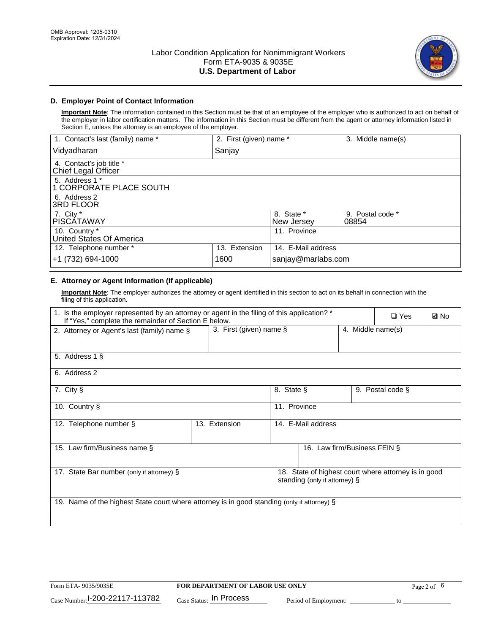

### **D. Employer Point of Contact Information**

**Important Note**: The information contained in this Section must be that of an employee of the employer who is authorized to act on behalf of the employer in labor certification matters. The information in this Section must be different from the agent or attorney information listed in Section E, unless the attorney is an employee of the employer.

| 1. Contact's last (family) name *               | 2. First (given) name * |                          | 3. Middle name(s)         |
|-------------------------------------------------|-------------------------|--------------------------|---------------------------|
| Vidyadharan                                     | Sanjay                  |                          |                           |
| 4. Contact's job title *<br>Chief Legal Officer |                         |                          |                           |
| 5. Address 1 *<br>1 CORPORATE PLACE SOUTH       |                         |                          |                           |
| 6. Address 2<br>3RD FLOOR                       |                         |                          |                           |
| 7. City $*$<br><b>PISCÁTAWAY</b>                |                         | 8. State *<br>New Jersey | 9. Postal code *<br>08854 |
| 10. Country *<br>United States Of America       |                         | 11. Province             |                           |
| 12. Telephone number *                          | 13. Extension           | 14. E-Mail address       |                           |
| +1 (732) 694-1000                               | 1600                    | sanjay@marlabs.com       |                           |

## **E. Attorney or Agent Information (If applicable)**

**Important Note**: The employer authorizes the attorney or agent identified in this section to act on its behalf in connection with the filing of this application.

| 1. Is the employer represented by an attorney or agent in the filing of this application? *<br>If "Yes," complete the remainder of Section E below. |                                                 |              |                               |  |                                                      | <b>Ø</b> No |
|-----------------------------------------------------------------------------------------------------------------------------------------------------|-------------------------------------------------|--------------|-------------------------------|--|------------------------------------------------------|-------------|
| 2. Attorney or Agent's last (family) name §                                                                                                         | 3. First (given) name $\S$<br>4. Middle name(s) |              |                               |  |                                                      |             |
| 5. Address 1 §                                                                                                                                      |                                                 |              |                               |  |                                                      |             |
| 6. Address 2                                                                                                                                        |                                                 |              |                               |  |                                                      |             |
| 7. City §                                                                                                                                           |                                                 | 8. State §   |                               |  | 9. Postal code §                                     |             |
| 10. Country §                                                                                                                                       |                                                 | 11. Province |                               |  |                                                      |             |
| 12. Telephone number §                                                                                                                              | 13. Extension                                   |              | 14. E-Mail address            |  |                                                      |             |
| 15. Law firm/Business name §                                                                                                                        |                                                 |              | 16. Law firm/Business FEIN §  |  |                                                      |             |
| 17. State Bar number (only if attorney) §                                                                                                           |                                                 |              | standing (only if attorney) § |  | 18. State of highest court where attorney is in good |             |
| 19. Name of the highest State court where attorney is in good standing (only if attorney) §                                                         |                                                 |              |                               |  |                                                      |             |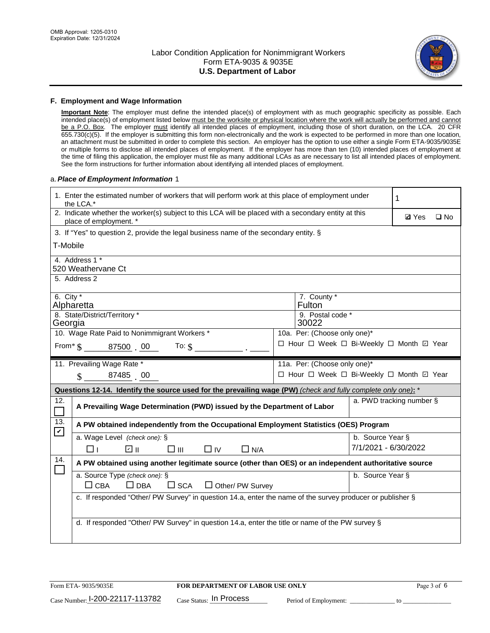

#### **F. Employment and Wage Information**

**Important Note**: The employer must define the intended place(s) of employment with as much geographic specificity as possible. Each intended place(s) of employment listed below must be the worksite or physical location where the work will actually be performed and cannot be a P.O. Box. The employer must identify all intended places of employment, including those of short duration, on the LCA. 20 CFR 655.730(c)(5). If the employer is submitting this form non-electronically and the work is expected to be performed in more than one location, an attachment must be submitted in order to complete this section. An employer has the option to use either a single Form ETA-9035/9035E or multiple forms to disclose all intended places of employment. If the employer has more than ten (10) intended places of employment at the time of filing this application, the employer must file as many additional LCAs as are necessary to list all intended places of employment. See the form instructions for further information about identifying all intended places of employment.

#### a.*Place of Employment Information* 1

|                                                                              | 1. Enter the estimated number of workers that will perform work at this place of employment under<br>the LCA.*                 |  | 1                                        |                          |  |  |  |  |
|------------------------------------------------------------------------------|--------------------------------------------------------------------------------------------------------------------------------|--|------------------------------------------|--------------------------|--|--|--|--|
|                                                                              | 2. Indicate whether the worker(s) subject to this LCA will be placed with a secondary entity at this<br>place of employment. * |  | <b>Ø</b> Yes                             | $\square$ No             |  |  |  |  |
|                                                                              | 3. If "Yes" to question 2, provide the legal business name of the secondary entity. §                                          |  |                                          |                          |  |  |  |  |
| T-Mobile                                                                     |                                                                                                                                |  |                                          |                          |  |  |  |  |
|                                                                              | 4. Address 1 *<br>520 Weathervane Ct                                                                                           |  |                                          |                          |  |  |  |  |
|                                                                              | 5. Address 2                                                                                                                   |  |                                          |                          |  |  |  |  |
| 6. City $*$                                                                  | Alpharetta                                                                                                                     |  | 7. County *<br>Fulton                    |                          |  |  |  |  |
| Georgia                                                                      | 8. State/District/Territory *                                                                                                  |  | 9. Postal code *<br>30022                |                          |  |  |  |  |
| 10. Wage Rate Paid to Nonimmigrant Workers *<br>10a. Per: (Choose only one)* |                                                                                                                                |  |                                          |                          |  |  |  |  |
|                                                                              | □ Hour □ Week □ Bi-Weekly □ Month 回 Year<br>From $\text{\$}$ 87500 00<br>To: $$$                                               |  |                                          |                          |  |  |  |  |
|                                                                              | 11. Prevailing Wage Rate *<br>11a. Per: (Choose only one)*                                                                     |  |                                          |                          |  |  |  |  |
|                                                                              | 87485 00<br>$\mathcal{S}$                                                                                                      |  | □ Hour □ Week □ Bi-Weekly □ Month 回 Year |                          |  |  |  |  |
|                                                                              | Questions 12-14. Identify the source used for the prevailing wage (PW) (check and fully complete only one): *                  |  |                                          |                          |  |  |  |  |
| 12.<br>$\Box$                                                                | A Prevailing Wage Determination (PWD) issued by the Department of Labor                                                        |  |                                          | a. PWD tracking number § |  |  |  |  |
| 13.<br>$\blacktriangledown$                                                  | A PW obtained independently from the Occupational Employment Statistics (OES) Program                                          |  |                                          |                          |  |  |  |  |
|                                                                              | a. Wage Level (check one): §                                                                                                   |  |                                          | b. Source Year §         |  |  |  |  |
|                                                                              | ☑ ⊪<br>$\square$ $\square$<br>$\Box$ IV<br>$\Box$ N/A<br>□⊥                                                                    |  |                                          | 7/1/2021 - 6/30/2022     |  |  |  |  |
| 14.                                                                          | A PW obtained using another legitimate source (other than OES) or an independent authoritative source                          |  |                                          |                          |  |  |  |  |
|                                                                              | a. Source Type (check one): §<br>b. Source Year §<br>$\Box$ CBA<br>$\Box$ DBA<br>$\square$ SCA<br>$\Box$ Other/ PW Survey      |  |                                          |                          |  |  |  |  |
|                                                                              | c. If responded "Other/ PW Survey" in question 14.a, enter the name of the survey producer or publisher §                      |  |                                          |                          |  |  |  |  |
|                                                                              | d. If responded "Other/ PW Survey" in question 14.a, enter the title or name of the PW survey §                                |  |                                          |                          |  |  |  |  |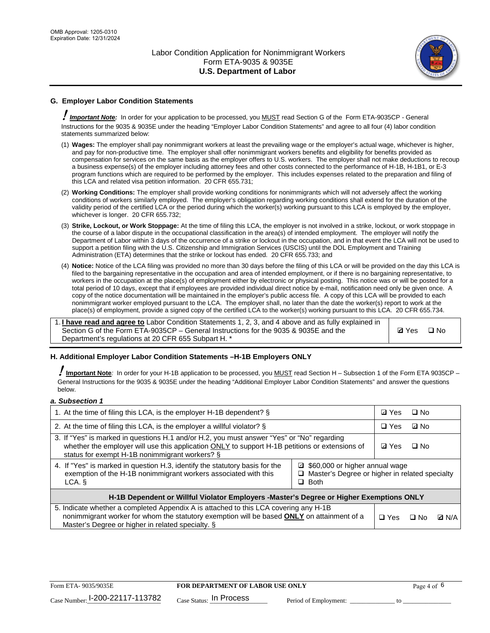

### **G. Employer Labor Condition Statements**

! *Important Note:* In order for your application to be processed, you MUST read Section G of the Form ETA-9035CP - General Instructions for the 9035 & 9035E under the heading "Employer Labor Condition Statements" and agree to all four (4) labor condition statements summarized below:

- (1) **Wages:** The employer shall pay nonimmigrant workers at least the prevailing wage or the employer's actual wage, whichever is higher, and pay for non-productive time. The employer shall offer nonimmigrant workers benefits and eligibility for benefits provided as compensation for services on the same basis as the employer offers to U.S. workers. The employer shall not make deductions to recoup a business expense(s) of the employer including attorney fees and other costs connected to the performance of H-1B, H-1B1, or E-3 program functions which are required to be performed by the employer. This includes expenses related to the preparation and filing of this LCA and related visa petition information. 20 CFR 655.731;
- (2) **Working Conditions:** The employer shall provide working conditions for nonimmigrants which will not adversely affect the working conditions of workers similarly employed. The employer's obligation regarding working conditions shall extend for the duration of the validity period of the certified LCA or the period during which the worker(s) working pursuant to this LCA is employed by the employer, whichever is longer. 20 CFR 655.732;
- (3) **Strike, Lockout, or Work Stoppage:** At the time of filing this LCA, the employer is not involved in a strike, lockout, or work stoppage in the course of a labor dispute in the occupational classification in the area(s) of intended employment. The employer will notify the Department of Labor within 3 days of the occurrence of a strike or lockout in the occupation, and in that event the LCA will not be used to support a petition filing with the U.S. Citizenship and Immigration Services (USCIS) until the DOL Employment and Training Administration (ETA) determines that the strike or lockout has ended. 20 CFR 655.733; and
- (4) **Notice:** Notice of the LCA filing was provided no more than 30 days before the filing of this LCA or will be provided on the day this LCA is filed to the bargaining representative in the occupation and area of intended employment, or if there is no bargaining representative, to workers in the occupation at the place(s) of employment either by electronic or physical posting. This notice was or will be posted for a total period of 10 days, except that if employees are provided individual direct notice by e-mail, notification need only be given once. A copy of the notice documentation will be maintained in the employer's public access file. A copy of this LCA will be provided to each nonimmigrant worker employed pursuant to the LCA. The employer shall, no later than the date the worker(s) report to work at the place(s) of employment, provide a signed copy of the certified LCA to the worker(s) working pursuant to this LCA. 20 CFR 655.734.

1. **I have read and agree to** Labor Condition Statements 1, 2, 3, and 4 above and as fully explained in Section G of the Form ETA-9035CP – General Instructions for the 9035 & 9035E and the Department's regulations at 20 CFR 655 Subpart H. \*

**Ø**Yes ロNo

### **H. Additional Employer Labor Condition Statements –H-1B Employers ONLY**

!**Important Note***:* In order for your H-1B application to be processed, you MUST read Section H – Subsection 1 of the Form ETA 9035CP – General Instructions for the 9035 & 9035E under the heading "Additional Employer Labor Condition Statements" and answer the questions below.

#### *a. Subsection 1*

| 1. At the time of filing this LCA, is the employer H-1B dependent? §                                                                                                                                                                                            |            |      | □ No         |  |  |
|-----------------------------------------------------------------------------------------------------------------------------------------------------------------------------------------------------------------------------------------------------------------|------------|------|--------------|--|--|
| 2. At the time of filing this LCA, is the employer a willful violator? $\S$                                                                                                                                                                                     |            |      | ⊡ No         |  |  |
| 3. If "Yes" is marked in questions H.1 and/or H.2, you must answer "Yes" or "No" regarding<br>whether the employer will use this application ONLY to support H-1B petitions or extensions of<br>status for exempt H-1B nonimmigrant workers? §                  |            |      | $\Box$ No    |  |  |
| 4. If "Yes" is marked in question H.3, identify the statutory basis for the<br>■ \$60,000 or higher annual wage<br>exemption of the H-1B nonimmigrant workers associated with this<br>□ Master's Degree or higher in related specialty<br>$\Box$ Both<br>LCA. § |            |      |              |  |  |
| H-1B Dependent or Willful Violator Employers -Master's Degree or Higher Exemptions ONLY                                                                                                                                                                         |            |      |              |  |  |
| 5. Indicate whether a completed Appendix A is attached to this LCA covering any H-1B<br>nonimmigrant worker for whom the statutory exemption will be based <b>ONLY</b> on attainment of a<br>Master's Degree or higher in related specialty. §                  | $\Box$ Yes | ⊡ No | <b>Q</b> N/A |  |  |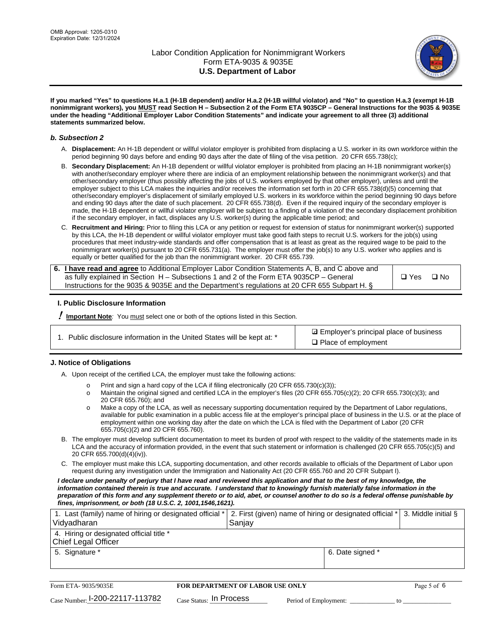

**If you marked "Yes" to questions H.a.1 (H-1B dependent) and/or H.a.2 (H-1B willful violator) and "No" to question H.a.3 (exempt H-1B nonimmigrant workers), you MUST read Section H – Subsection 2 of the Form ETA 9035CP – General Instructions for the 9035 & 9035E under the heading "Additional Employer Labor Condition Statements" and indicate your agreement to all three (3) additional statements summarized below.**

#### *b. Subsection 2*

- A. **Displacement:** An H-1B dependent or willful violator employer is prohibited from displacing a U.S. worker in its own workforce within the period beginning 90 days before and ending 90 days after the date of filing of the visa petition. 20 CFR 655.738(c);
- B. **Secondary Displacement:** An H-1B dependent or willful violator employer is prohibited from placing an H-1B nonimmigrant worker(s) with another/secondary employer where there are indicia of an employment relationship between the nonimmigrant worker(s) and that other/secondary employer (thus possibly affecting the jobs of U.S. workers employed by that other employer), unless and until the employer subject to this LCA makes the inquiries and/or receives the information set forth in 20 CFR 655.738(d)(5) concerning that other/secondary employer's displacement of similarly employed U.S. workers in its workforce within the period beginning 90 days before and ending 90 days after the date of such placement. 20 CFR 655.738(d). Even if the required inquiry of the secondary employer is made, the H-1B dependent or willful violator employer will be subject to a finding of a violation of the secondary displacement prohibition if the secondary employer, in fact, displaces any U.S. worker(s) during the applicable time period; and
- C. **Recruitment and Hiring:** Prior to filing this LCA or any petition or request for extension of status for nonimmigrant worker(s) supported by this LCA, the H-1B dependent or willful violator employer must take good faith steps to recruit U.S. workers for the job(s) using procedures that meet industry-wide standards and offer compensation that is at least as great as the required wage to be paid to the nonimmigrant worker(s) pursuant to 20 CFR 655.731(a). The employer must offer the job(s) to any U.S. worker who applies and is equally or better qualified for the job than the nonimmigrant worker. 20 CFR 655.739.

| 6. I have read and agree to Additional Employer Labor Condition Statements A, B, and C above and |       |           |
|--------------------------------------------------------------------------------------------------|-------|-----------|
| as fully explained in Section H – Subsections 1 and 2 of the Form ETA 9035CP – General           | □ Yes | $\Box$ No |
| Instructions for the 9035 & 9035E and the Department's regulations at 20 CFR 655 Subpart H. §    |       |           |

### **I. Public Disclosure Information**

! **Important Note***:* You must select one or both of the options listed in this Section.

| 1. Public disclosure information in the United States will be kept at: * |  |  |  |  |  |  |  |
|--------------------------------------------------------------------------|--|--|--|--|--|--|--|
|--------------------------------------------------------------------------|--|--|--|--|--|--|--|

**sqrt** Employer's principal place of business □ Place of employment

### **J. Notice of Obligations**

A. Upon receipt of the certified LCA, the employer must take the following actions:

- o Print and sign a hard copy of the LCA if filing electronically (20 CFR 655.730(c)(3));<br>
Maintain the original signed and certified LCA in the employer's files (20 CFR 655.7
- Maintain the original signed and certified LCA in the employer's files (20 CFR 655.705(c)(2); 20 CFR 655.730(c)(3); and 20 CFR 655.760); and
- o Make a copy of the LCA, as well as necessary supporting documentation required by the Department of Labor regulations, available for public examination in a public access file at the employer's principal place of business in the U.S. or at the place of employment within one working day after the date on which the LCA is filed with the Department of Labor (20 CFR 655.705(c)(2) and 20 CFR 655.760).
- B. The employer must develop sufficient documentation to meet its burden of proof with respect to the validity of the statements made in its LCA and the accuracy of information provided, in the event that such statement or information is challenged (20 CFR 655.705(c)(5) and 20 CFR 655.700(d)(4)(iv)).
- C. The employer must make this LCA, supporting documentation, and other records available to officials of the Department of Labor upon request during any investigation under the Immigration and Nationality Act (20 CFR 655.760 and 20 CFR Subpart I).

*I declare under penalty of perjury that I have read and reviewed this application and that to the best of my knowledge, the*  information contained therein is true and accurate. I understand that to knowingly furnish materially false information in the *preparation of this form and any supplement thereto or to aid, abet, or counsel another to do so is a federal offense punishable by fines, imprisonment, or both (18 U.S.C. 2, 1001,1546,1621).*

| 1. Last (family) name of hiring or designated official *   2. First (given) name of hiring or designated official *   3. Middle initial §<br>Vidyadharan | Saniav           |  |
|----------------------------------------------------------------------------------------------------------------------------------------------------------|------------------|--|
| 4. Hiring or designated official title *<br>Chief Legal Officer                                                                                          |                  |  |
| 5. Signature *                                                                                                                                           | 6. Date signed * |  |

| Form ETA-9035/9035E                         | <b>FOR DEPARTMENT OF LABOR USE ONLY</b> | Page 5 of 6           |  |
|---------------------------------------------|-----------------------------------------|-----------------------|--|
| $_{\text{Case Number:}}$ I-200-22117-113782 | $_{\rm Case~S status:}$ In Process      | Period of Employment: |  |